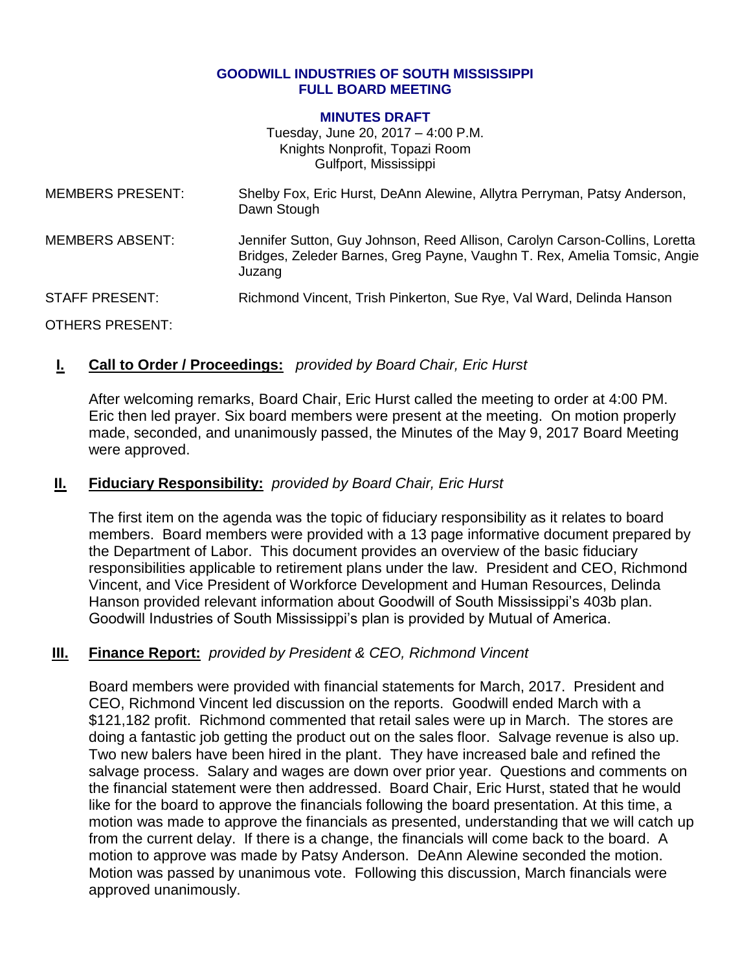#### **GOODWILL INDUSTRIES OF SOUTH MISSISSIPPI FULL BOARD MEETING**

#### **MINUTES DRAFT**

Tuesday, June 20, 2017 – 4:00 P.M. Knights Nonprofit, Topazi Room Gulfport, Mississippi

| <b>MEMBERS PRESENT:</b> | Shelby Fox, Eric Hurst, DeAnn Alewine, Allytra Perryman, Patsy Anderson,<br>Dawn Stough                                                                           |
|-------------------------|-------------------------------------------------------------------------------------------------------------------------------------------------------------------|
| <b>MEMBERS ABSENT:</b>  | Jennifer Sutton, Guy Johnson, Reed Allison, Carolyn Carson-Collins, Loretta<br>Bridges, Zeleder Barnes, Greg Payne, Vaughn T. Rex, Amelia Tomsic, Angie<br>Juzang |
| <b>STAFF PRESENT:</b>   | Richmond Vincent, Trish Pinkerton, Sue Rye, Val Ward, Delinda Hanson                                                                                              |
| OTHERS PRESENT:         |                                                                                                                                                                   |

### **I. Call to Order / Proceedings:** *provided by Board Chair, Eric Hurst*

After welcoming remarks, Board Chair, Eric Hurst called the meeting to order at 4:00 PM. Eric then led prayer. Six board members were present at the meeting. On motion properly made, seconded, and unanimously passed, the Minutes of the May 9, 2017 Board Meeting were approved.

### **II. Fiduciary Responsibility:** *provided by Board Chair, Eric Hurst*

The first item on the agenda was the topic of fiduciary responsibility as it relates to board members. Board members were provided with a 13 page informative document prepared by the Department of Labor. This document provides an overview of the basic fiduciary responsibilities applicable to retirement plans under the law. President and CEO, Richmond Vincent, and Vice President of Workforce Development and Human Resources, Delinda Hanson provided relevant information about Goodwill of South Mississippi's 403b plan. Goodwill Industries of South Mississippi's plan is provided by Mutual of America.

## **III. Finance Report:** *provided by President & CEO, Richmond Vincent*

Board members were provided with financial statements for March, 2017. President and CEO, Richmond Vincent led discussion on the reports. Goodwill ended March with a \$121,182 profit. Richmond commented that retail sales were up in March. The stores are doing a fantastic job getting the product out on the sales floor. Salvage revenue is also up. Two new balers have been hired in the plant. They have increased bale and refined the salvage process. Salary and wages are down over prior year. Questions and comments on the financial statement were then addressed. Board Chair, Eric Hurst, stated that he would like for the board to approve the financials following the board presentation. At this time, a motion was made to approve the financials as presented, understanding that we will catch up from the current delay. If there is a change, the financials will come back to the board. A motion to approve was made by Patsy Anderson. DeAnn Alewine seconded the motion. Motion was passed by unanimous vote. Following this discussion, March financials were approved unanimously.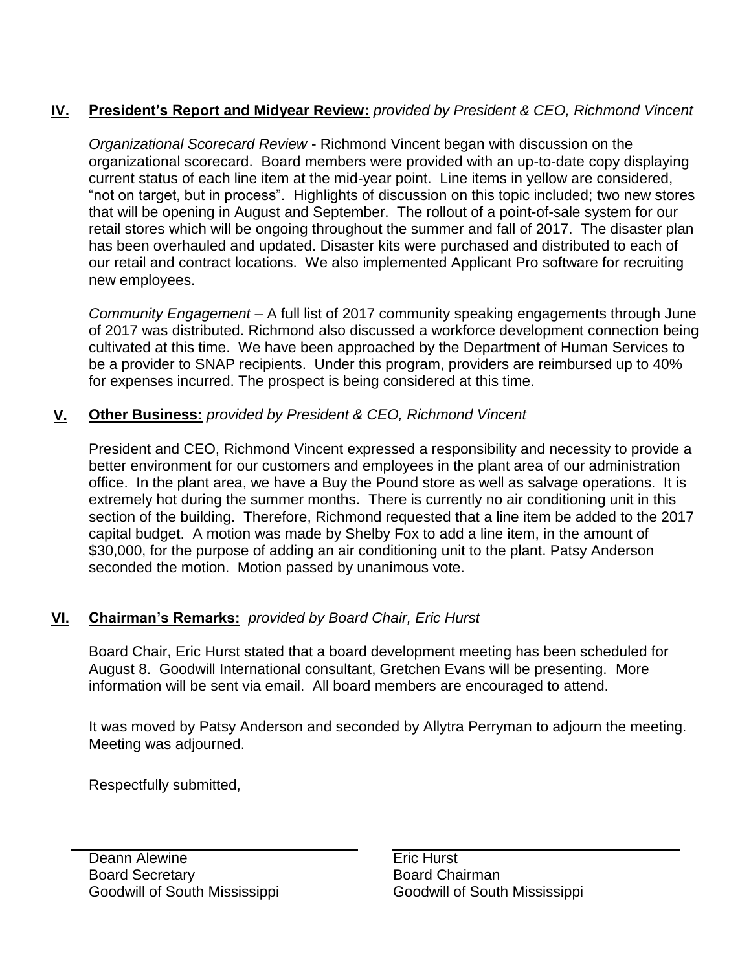# **IV. President's Report and Midyear Review:** *provided by President & CEO, Richmond Vincent*

*Organizational Scorecard Review* - Richmond Vincent began with discussion on the organizational scorecard. Board members were provided with an up-to-date copy displaying current status of each line item at the mid-year point. Line items in yellow are considered, "not on target, but in process". Highlights of discussion on this topic included; two new stores that will be opening in August and September. The rollout of a point-of-sale system for our retail stores which will be ongoing throughout the summer and fall of 2017. The disaster plan has been overhauled and updated. Disaster kits were purchased and distributed to each of our retail and contract locations. We also implemented Applicant Pro software for recruiting new employees.

*Community Engagement* – A full list of 2017 community speaking engagements through June of 2017 was distributed. Richmond also discussed a workforce development connection being cultivated at this time. We have been approached by the Department of Human Services to be a provider to SNAP recipients. Under this program, providers are reimbursed up to 40% for expenses incurred. The prospect is being considered at this time.

# **V. Other Business:** *provided by President & CEO, Richmond Vincent*

President and CEO, Richmond Vincent expressed a responsibility and necessity to provide a better environment for our customers and employees in the plant area of our administration office. In the plant area, we have a Buy the Pound store as well as salvage operations. It is extremely hot during the summer months. There is currently no air conditioning unit in this section of the building. Therefore, Richmond requested that a line item be added to the 2017 capital budget. A motion was made by Shelby Fox to add a line item, in the amount of \$30,000, for the purpose of adding an air conditioning unit to the plant. Patsy Anderson seconded the motion. Motion passed by unanimous vote.

# **VI. Chairman's Remarks:** *provided by Board Chair, Eric Hurst*

Board Chair, Eric Hurst stated that a board development meeting has been scheduled for August 8. Goodwill International consultant, Gretchen Evans will be presenting. More information will be sent via email. All board members are encouraged to attend.

It was moved by Patsy Anderson and seconded by Allytra Perryman to adjourn the meeting. Meeting was adjourned.

Respectfully submitted,

Deann Alewine **Example 20** Eric Hurst Board Secretary Goodwill of South Mississippi

Board Chairman Goodwill of South Mississippi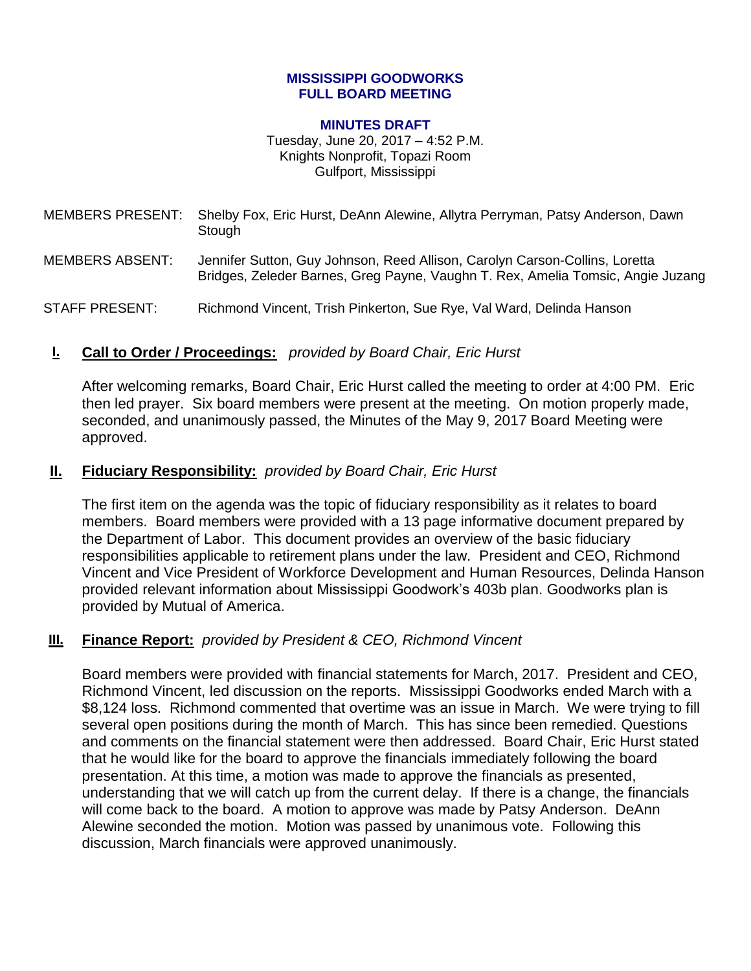#### **MISSISSIPPI GOODWORKS FULL BOARD MEETING**

#### **MINUTES DRAFT**

Tuesday, June 20, 2017 – 4:52 P.M. Knights Nonprofit, Topazi Room Gulfport, Mississippi

MEMBERS PRESENT: Shelby Fox, Eric Hurst, DeAnn Alewine, Allytra Perryman, Patsy Anderson, Dawn **Stough** 

MEMBERS ABSENT: Jennifer Sutton, Guy Johnson, Reed Allison, Carolyn Carson-Collins, Loretta Bridges, Zeleder Barnes, Greg Payne, Vaughn T. Rex, Amelia Tomsic, Angie Juzang

STAFF PRESENT: Richmond Vincent, Trish Pinkerton, Sue Rye, Val Ward, Delinda Hanson

### **I. Call to Order / Proceedings:** *provided by Board Chair, Eric Hurst*

After welcoming remarks, Board Chair, Eric Hurst called the meeting to order at 4:00 PM. Eric then led prayer. Six board members were present at the meeting. On motion properly made, seconded, and unanimously passed, the Minutes of the May 9, 2017 Board Meeting were approved.

### **II. Fiduciary Responsibility:** *provided by Board Chair, Eric Hurst*

The first item on the agenda was the topic of fiduciary responsibility as it relates to board members. Board members were provided with a 13 page informative document prepared by the Department of Labor. This document provides an overview of the basic fiduciary responsibilities applicable to retirement plans under the law. President and CEO, Richmond Vincent and Vice President of Workforce Development and Human Resources, Delinda Hanson provided relevant information about Mississippi Goodwork's 403b plan. Goodworks plan is provided by Mutual of America.

## **III. Finance Report:** *provided by President & CEO, Richmond Vincent*

Board members were provided with financial statements for March, 2017. President and CEO, Richmond Vincent, led discussion on the reports. Mississippi Goodworks ended March with a \$8,124 loss. Richmond commented that overtime was an issue in March. We were trying to fill several open positions during the month of March. This has since been remedied. Questions and comments on the financial statement were then addressed. Board Chair, Eric Hurst stated that he would like for the board to approve the financials immediately following the board presentation. At this time, a motion was made to approve the financials as presented, understanding that we will catch up from the current delay. If there is a change, the financials will come back to the board. A motion to approve was made by Patsy Anderson. DeAnn Alewine seconded the motion. Motion was passed by unanimous vote. Following this discussion, March financials were approved unanimously.